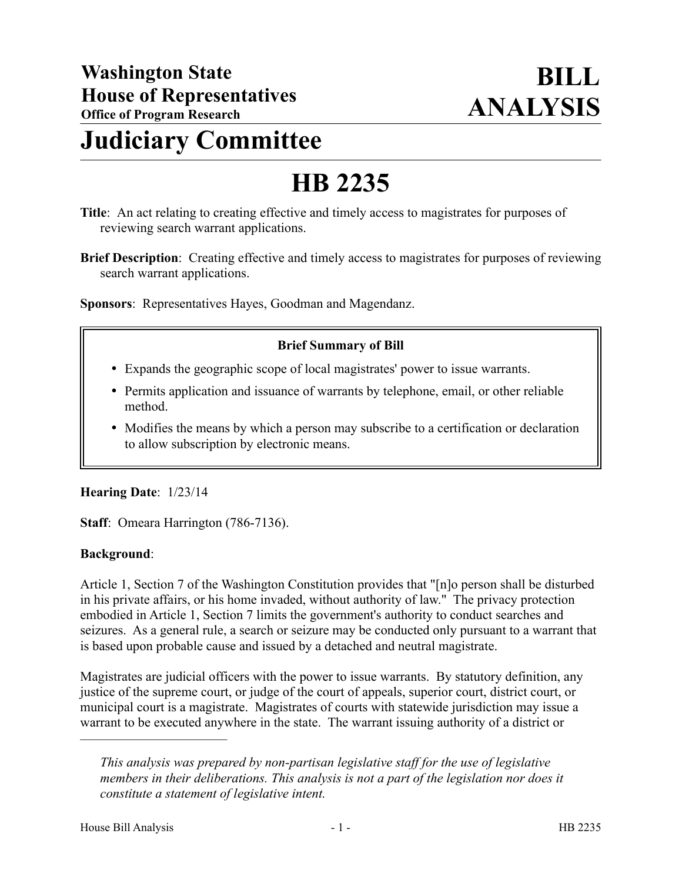# **Judiciary Committee**

# **HB 2235**

- **Title**: An act relating to creating effective and timely access to magistrates for purposes of reviewing search warrant applications.
- **Brief Description**: Creating effective and timely access to magistrates for purposes of reviewing search warrant applications.

**Sponsors**: Representatives Hayes, Goodman and Magendanz.

### **Brief Summary of Bill**

- Expands the geographic scope of local magistrates' power to issue warrants.
- Permits application and issuance of warrants by telephone, email, or other reliable method.
- Modifies the means by which a person may subscribe to a certification or declaration to allow subscription by electronic means.

#### **Hearing Date**: 1/23/14

**Staff**: Omeara Harrington (786-7136).

#### **Background**:

Article 1, Section 7 of the Washington Constitution provides that "[n]o person shall be disturbed in his private affairs, or his home invaded, without authority of law." The privacy protection embodied in Article 1, Section 7 limits the government's authority to conduct searches and seizures. As a general rule, a search or seizure may be conducted only pursuant to a warrant that is based upon probable cause and issued by a detached and neutral magistrate.

Magistrates are judicial officers with the power to issue warrants. By statutory definition, any justice of the supreme court, or judge of the court of appeals, superior court, district court, or municipal court is a magistrate. Magistrates of courts with statewide jurisdiction may issue a warrant to be executed anywhere in the state. The warrant issuing authority of a district or

––––––––––––––––––––––

*This analysis was prepared by non-partisan legislative staff for the use of legislative members in their deliberations. This analysis is not a part of the legislation nor does it constitute a statement of legislative intent.*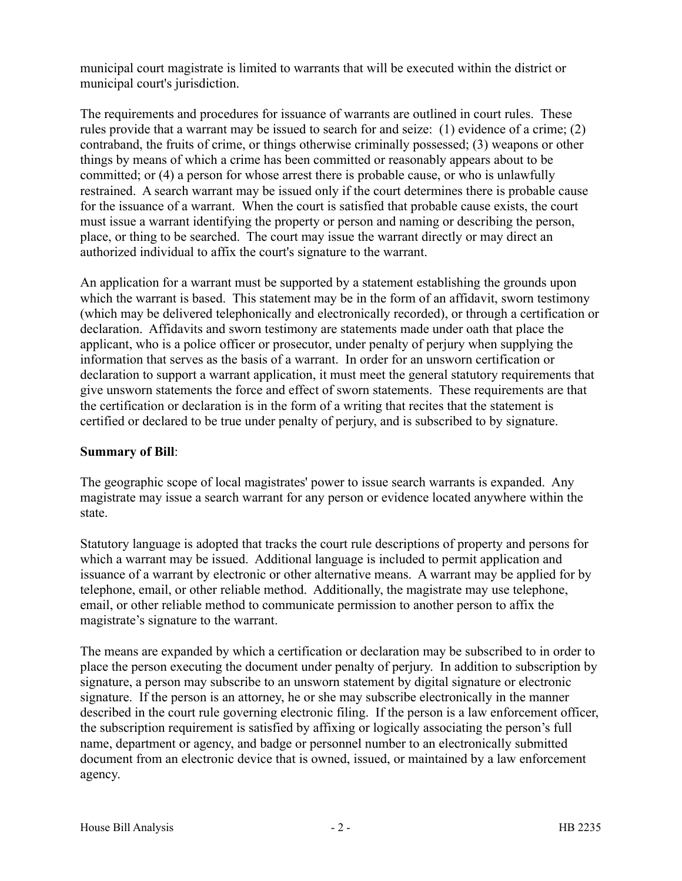municipal court magistrate is limited to warrants that will be executed within the district or municipal court's jurisdiction.

The requirements and procedures for issuance of warrants are outlined in court rules. These rules provide that a warrant may be issued to search for and seize: (1) evidence of a crime; (2) contraband, the fruits of crime, or things otherwise criminally possessed; (3) weapons or other things by means of which a crime has been committed or reasonably appears about to be committed; or (4) a person for whose arrest there is probable cause, or who is unlawfully restrained. A search warrant may be issued only if the court determines there is probable cause for the issuance of a warrant. When the court is satisfied that probable cause exists, the court must issue a warrant identifying the property or person and naming or describing the person, place, or thing to be searched. The court may issue the warrant directly or may direct an authorized individual to affix the court's signature to the warrant.

An application for a warrant must be supported by a statement establishing the grounds upon which the warrant is based. This statement may be in the form of an affidavit, sworn testimony (which may be delivered telephonically and electronically recorded), or through a certification or declaration. Affidavits and sworn testimony are statements made under oath that place the applicant, who is a police officer or prosecutor, under penalty of perjury when supplying the information that serves as the basis of a warrant. In order for an unsworn certification or declaration to support a warrant application, it must meet the general statutory requirements that give unsworn statements the force and effect of sworn statements. These requirements are that the certification or declaration is in the form of a writing that recites that the statement is certified or declared to be true under penalty of perjury, and is subscribed to by signature.

### **Summary of Bill**:

The geographic scope of local magistrates' power to issue search warrants is expanded. Any magistrate may issue a search warrant for any person or evidence located anywhere within the state.

Statutory language is adopted that tracks the court rule descriptions of property and persons for which a warrant may be issued. Additional language is included to permit application and issuance of a warrant by electronic or other alternative means. A warrant may be applied for by telephone, email, or other reliable method. Additionally, the magistrate may use telephone, email, or other reliable method to communicate permission to another person to affix the magistrate's signature to the warrant.

The means are expanded by which a certification or declaration may be subscribed to in order to place the person executing the document under penalty of perjury. In addition to subscription by signature, a person may subscribe to an unsworn statement by digital signature or electronic signature. If the person is an attorney, he or she may subscribe electronically in the manner described in the court rule governing electronic filing. If the person is a law enforcement officer, the subscription requirement is satisfied by affixing or logically associating the person's full name, department or agency, and badge or personnel number to an electronically submitted document from an electronic device that is owned, issued, or maintained by a law enforcement agency.